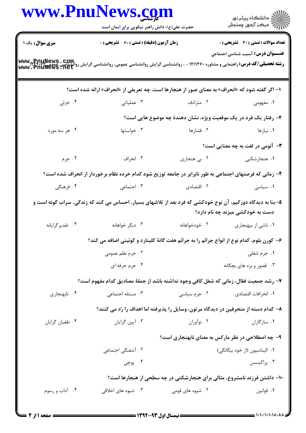|                        | www.PnuNews.com<br>حضرت علی(ع): دانش راهبر نیکویی برای ایمان است                                                                             |                                                                                     | ڪ دانشڪاه پيا <sub>م</sub> نور<br>۾ سرڪز آزمون وسنڊش |
|------------------------|----------------------------------------------------------------------------------------------------------------------------------------------|-------------------------------------------------------------------------------------|------------------------------------------------------|
| <b>سری سوال :</b> یک ۱ | <b>زمان آزمون (دقیقه) : تستی : 60 ٪ تشریحی : 0</b>                                                                                           |                                                                                     | <b>تعداد سوالات : تستی : 30 ٪ تشریحی : 0</b>         |
|                        | <b>ر شته تحصیلی/کد درس: راهنمایی و مشاوره ۱۲۱۱۳۶۰ - ، روانشناسی گرایش روانشناسی عمومی، روانشناسی گرایش روانشناسی<br/>www . PnuNews . net</b> |                                                                                     | <b>عنـــوان درس:</b> آسیب شناسی اجتماعی              |
|                        | ا- اگر گفته شود که «انحراف» به معنای عبور از هنجارها است، چه تعریفی از «انحراف» ارائه شده است؟                                               |                                                                                     |                                                      |
| ۰۴ جزئی                | ۰۳ عملیاتی                                                                                                                                   | ۰۲ مترادف                                                                           | ۱. مفهومی                                            |
|                        |                                                                                                                                              | ۲- رفتار یک فرد در یک موقعیت ویژه، نشان دهندهٔ چه موضوع هایی است؟                   |                                                      |
| ۰۴ هر سه مورد          | ۰۳ خواستها                                                                                                                                   | ۰۲ فشارها                                                                           | ۰۱ نیازها                                            |
|                        |                                                                                                                                              |                                                                                     | <b>۳</b> - آنومی در لغت به چه معنایی است؟            |
| ۰۴ جرم                 | ۰۳ انحراف                                                                                                                                    | ۰۲ بی هنجاری                                                                        | ۰۱ هنجارشکنی                                         |
|                        | ۴- زمانی که فرصتهای اجتماعی به طور نابرابر در جامعه توزیع شود کدام خرده نظام برخوردار از انحراف شده است؟                                     |                                                                                     |                                                      |
| ۰۴ فرهنگی              | ۰۳ اجتماعی                                                                                                                                   | ۰۲ اقتصادی                                                                          | ۰۱ سیاسی                                             |
|                        | ۵– بنا به دیدگاه دورکیم، آن نوع خودکشی که فرد بعد از تلاشهای بسیار، احساس می کند که زندگی، سراب گونه است و                                   |                                                                                     | دست به خودکشی میزند چه نام دارد؟                     |
| ۰۴ تقدیرگرایانه        | ۰۳ دیگر خواهانه                                                                                                                              | ۰۲ خودخواهانه                                                                       | ٠١ ناشي از بيهنجاري                                  |
|                        | ۶– کورن بلوم، کدام نوع از انواع جرائم را به جرائم هفت گانهٔ کلینارد و کوئینی اضافه می کند؟                                                   |                                                                                     |                                                      |
|                        | ۰۲ جرم نظم عمومی                                                                                                                             |                                                                                     | ۰۱ جرم شغلی                                          |
|                        | ۰۴ جرم حرفه ای                                                                                                                               |                                                                                     | ۰۳ قصور و بزه های بچگانه                             |
|                        | ٧- رشد جمعیت فعّال، زمانی که شغل کافی وجود نداشته باشد از جملهٔ مصادیق کدام مفهوم است؟                                                       |                                                                                     |                                                      |
| ۰۴ نابهنجاری           | ۰۳ مسئله اجتماعی                                                                                                                             | ۰۲ جرم سیاسی                                                                        | ٠١. انحرافات اقتصادي                                 |
|                        |                                                                                                                                              | ۸– کدام دسته از منحرفین در دیدگاه مرتون، وسایل را پذیرفته اما اهداف را رّد می کنند؟ |                                                      |
| ۰۴ طغیان گرایان        | ۰۳ آیین گرایان                                                                                                                               | ۰۲ نوآوران                                                                          | ۰۱ سازگاران                                          |
|                        |                                                                                                                                              | ۹- چه اصطلاحی در نظر مارکس به معنای نابهنجاری است؟                                  |                                                      |
|                        | ۰۲ آشفتگی اجتما <i>ع</i> ی                                                                                                                   |                                                                                     | ۰۱ الیناسیون (از خود بیگانگی)                        |
|                        | ۰۴ پوچی                                                                                                                                      |                                                                                     | ۰۳ پراکیسس                                           |
|                        |                                                                                                                                              | <b>۱۰- داشتن فرزند نامشروع، مثالی برای هنجارشکنی در چه سطحی از هنجارها است؟</b>     |                                                      |
| ۰۴ آداب و رسوم         | ۰۳ شیوه های اخلاقی                                                                                                                           | ۰۲ شیوه های قومی                                                                    | ٠١ قوانين                                            |
|                        |                                                                                                                                              |                                                                                     |                                                      |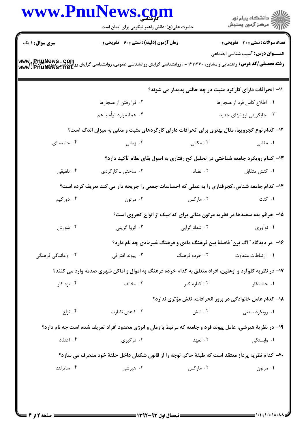|                        | www.PnuNews.com<br>حضرت علی(ع): دانش راهبر نیکویی برای ایمان است                                                                                                         |                                                                                                                                                                                                                                  | ر دانشگاه پيام نور<br>ا∛هرکز آزمون وسنجش                                      |  |
|------------------------|--------------------------------------------------------------------------------------------------------------------------------------------------------------------------|----------------------------------------------------------------------------------------------------------------------------------------------------------------------------------------------------------------------------------|-------------------------------------------------------------------------------|--|
|                        |                                                                                                                                                                          |                                                                                                                                                                                                                                  |                                                                               |  |
| <b>سری سوال : ۱ یک</b> | <b>زمان آزمون (دقیقه) : تستی : 60 ٪ تشریحی : 0</b>                                                                                                                       |                                                                                                                                                                                                                                  | <b>تعداد سوالات : تستی : 30 ٪ تشریحی : 0</b>                                  |  |
|                        | <b>رشته تحصیلی/کد درس: راهنمایی و مشاوره ۱۲۱۱۳۶۰ - ، روانشناسی گرایش روانشناسی عمومی، روانشناسی گرایش رواکست به می<br/>www . PnuMews . net »<br/>www . PnuMews . net</b> |                                                                                                                                                                                                                                  | <b>عنـــوان درس:</b> آسیب شناسی اجتماعی                                       |  |
|                        |                                                                                                                                                                          |                                                                                                                                                                                                                                  | ۱۱– انحرافات دارای کارکرد مثبت در چه حالتی پدیدار می شوند؟                    |  |
|                        | ٠٢ فرا رفتن از هنجارها                                                                                                                                                   |                                                                                                                                                                                                                                  | ٠١. اطلاع كامل فرد از هنجارها                                                 |  |
|                        | ۰۴ همهٔ موارد توأم با هم                                                                                                                                                 |                                                                                                                                                                                                                                  | ۰۳ جایگزینی ارزشهای جدید                                                      |  |
|                        | ۱۲- کدام نوع کجرویها، مثال بهتری برای انحرافات دارای کارکردهای مثبت و منفی به میزان اندک است؟                                                                            |                                                                                                                                                                                                                                  |                                                                               |  |
| ۰۴ جامعه ای            |                                                                                                                                                                          | ۰۲ مکانی مسلمانی در این مسلمان به محلول در مسلمان به محلول مسلمان در این مسلمان در این مسلمان در این مسلمان ای<br>مسلمان این مسلمان این مسلمان در این مسلمان در این مسلمان این مسلمان این مسلمان این مسلمان این مسلمان این مسلما | ۰۱ مقامی                                                                      |  |
|                        |                                                                                                                                                                          |                                                                                                                                                                                                                                  | ۱۳- کدام رویکرد جامعه شناختی در تحلیل کج رفتاری به اصول بقای نظام تأکید دارد؟ |  |
| ۰۴ تلفیقی              | ۰۳ ساختی ـ کارکردی                                                                                                                                                       | ۰۲ تضاد                                                                                                                                                                                                                          | ۰۱ کنش متقابل                                                                 |  |
|                        | ۱۴- کدام جامعه شناس، کجرفتاری را به عملی که احساسات جمعی را جریحه دار می کند تعریف کرده است؟                                                                             |                                                                                                                                                                                                                                  |                                                                               |  |
| ۰۴ دورکیم              | ۰۳ مرتون                                                                                                                                                                 | ۰۲ مارکس                                                                                                                                                                                                                         | ۰۱ کنت                                                                        |  |
|                        |                                                                                                                                                                          |                                                                                                                                                                                                                                  | ۱۵- جرائم یقه سفیدها در نظریه مرتون مثالی برای کدامیک از انواع کجروی است؟     |  |
| ۰۴ شورش                | ۰۳ انزوا گزینی                                                                                                                                                           | ۰۲ شعائرگرايي                                                                                                                                                                                                                    | ۰۱ نوآوري                                                                     |  |
|                        |                                                                                                                                                                          |                                                                                                                                                                                                                                  | ۱۶- در دیدگاه " اگ برن" فاصلهٔ بین فرهنگ مادی و فرهنگ غیرمادی چه نام دارد؟    |  |
| ۰۴ واماندگی فرهنگی     | ۰۳ پیوند افتراقی                                                                                                                                                         | ۰۲ خرده فرهنگ                                                                                                                                                                                                                    | ۰۱ ارتباطات متفاوت                                                            |  |
|                        | ۱۷– در نظریه کلوآرد و اوهلین، افراد متعلق به کدام خرده فرهنگ به اموال و اماکن شهری صدمه وارد می کنند؟                                                                    |                                                                                                                                                                                                                                  |                                                                               |  |
| ۰۴ بزه کار             | ۰۳ مخالف                                                                                                                                                                 | ۰۲ کناره گیر                                                                                                                                                                                                                     | ۰۱ جنایتکار                                                                   |  |
|                        |                                                                                                                                                                          |                                                                                                                                                                                                                                  | <b>۱۸- کدام عامل خانوادگی در بروز انحرافات، نقش مؤثری ندارد؟</b>              |  |
| ۰۴ نزاع                | ۰۳ کاهش نظارت                                                                                                                                                            | ۰۲ تنش                                                                                                                                                                                                                           | ۰۱ رویکرد سنتی                                                                |  |
|                        | ۱۹- در نظریهٔ هیرشی، عامل پیوند فرد و جامعه که مرتبط با زمان و انرژی محدود افراد تعریف شده است چه نام دارد؟                                                              |                                                                                                                                                                                                                                  |                                                                               |  |
| ۰۴ اعتقاد              | ۰۳ درگیری                                                                                                                                                                | ۰۲ تعهد                                                                                                                                                                                                                          | ۰۱ وابستگی                                                                    |  |
|                        | ۲۰– کدام نظریه پرداز معتقد است که طبقهٔ حاکم توجه را از قانون شکنان داخل حلقهٔ خود منحرف می سازد؟                                                                        |                                                                                                                                                                                                                                  |                                                                               |  |
| ۰۴ ساترلند             | ۰۳ هیرشی                                                                                                                                                                 | ۰۲ مارکس                                                                                                                                                                                                                         | ۰۱ مرتون                                                                      |  |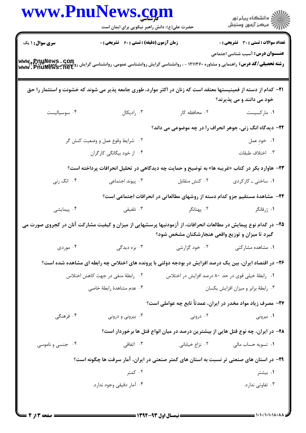|                  | www.PnuNews.com<br>حضرت علی(ع): دانش راهبر نیکویی برای ایمان است                                                                                                          |                                                                                  | ڪ دانشڪاه پيا <sub>م</sub> نور<br>۾ مرڪز آزمون وسنجش |
|------------------|---------------------------------------------------------------------------------------------------------------------------------------------------------------------------|----------------------------------------------------------------------------------|------------------------------------------------------|
| سری سوال: ۱ یک   | زمان آزمون (دقیقه) : تستی : 60 ٪ تشریحی : 0                                                                                                                               |                                                                                  | <b>تعداد سوالات : تستی : 30 ٪ تشریحی : 0</b>         |
|                  | ر ت می کند و تقسیم کرد .<br><b>رشته تحصیلی/کد درس:</b> راهنمایی و مشاوره ۱۲۱۱۳۶۰ - ، روانشناسی گرایش روانشناسی عمومی، روانشناسی گرایش روانیسی عمو<br>www . Pnuliews . net |                                                                                  | <b>عنـــوان درس:</b> آسیب شناسی اجتماعی              |
|                  | <b>۳۱</b> – کدام از دسته از فمینیستها معتقد است که زنان در اکثر موارد، طوری جامعه پذیر می شوند که خشونت و استثمار را حق                                                   |                                                                                  | خود می دانند و می پذیرند؟                            |
| ۰۴ سوسیالیست     | ۰۳ رادیکال                                                                                                                                                                | ۰۲ محافظه کار                                                                    | ۰۱ مارکسیست                                          |
|                  |                                                                                                                                                                           | ۲۲- دیدگاه انگ زنی، جوهر انحراف را در چه موضوعی می داند؟                         |                                                      |
|                  | ۰۲ شرایط وقوع عمل و وضعیت کنش گر                                                                                                                                          |                                                                                  | ٠١. خوڊ عمل                                          |
|                  | ۰۴ از خود بیگانگی کارگران                                                                                                                                                 |                                                                                  | ٠٣ اختلاف طبقات                                      |
|                  | <b>۲۳</b> - هاوارد بکر در کتاب «غریبه ها» به توضیح و حمایت چه دیدگاهی در تحلیل انحرافات پرداخته است؟                                                                      |                                                                                  |                                                      |
| ۰۴ انگ زنی       | ۰۳ پیوند اجتما <i>ع</i> ی                                                                                                                                                 | ۰۲ کنش متقابل                                                                    | ۰۱ ساختی ـ کارکردی                                   |
|                  |                                                                                                                                                                           | ۲۴- مشاهدهٔ مستقیم جزو کدام دسته از روشهای مطالعاتی در انحرافات اجتماعی است؟     |                                                      |
| ۰۴ پیمایشی       |                                                                                                                                                                           |                                                                                  | ۱. ژرفانگر                                           |
|                  | ۲۵– در کدام نوع پیمایش در مطالعات انحرافات، از آزمودنیها پرسشهایی از میزان و کیفیت مشارکت آنان در کجروی صورت می                                                           | گیرد تا میزان و توزیع واقعی هنجارشکنان مشخص شود؟                                 |                                                      |
| ۰۴ موردی         | ۰۳ بزه دیدگی                                                                                                                                                              | ۰۲ خود گزارشی                                                                    | ٠١ مشاهده مشاركتى                                    |
|                  | ۲۶- در اقتصاد ایران، بین یک درصد افزایش در بودجه دولتی با پرونده های اختلاس چه رابطه ای مشاهده شده است؟                                                                   |                                                                                  |                                                      |
|                  | ۰۲ رابطهٔ منفی در جهت کاهش اختلاس                                                                                                                                         | ۰۱ رابطهٔ خیلی قوی در حد ۸۰ درصد افزایش در اختلاس                                |                                                      |
|                  | ۰۴ عدم مشاهدهٔ رابطهٔ خاصی                                                                                                                                                |                                                                                  | ٠٣ رابطة برابر و ميزان افزايش يكسان                  |
|                  |                                                                                                                                                                           | ۲۷- مصرف زیاد مواد مخدر در ایران، عمدتاً تابع چه عواملی است؟                     |                                                      |
| ۰۴ فرهنگی        | ۰۳ بیرونی و درونی                                                                                                                                                         | ۰۲ درونی                                                                         | ۰۱ بیرونی                                            |
|                  |                                                                                                                                                                           | ۲۸– در ایران، چه نوع قتل هایی از بیشترین درصد در میان انواع قتل ها برخوردار است؟ |                                                      |
| ۰۴ جنسی و ناموسی | ا اتفاقی $\cdot$ ۳                                                                                                                                                        | ۰۲ نزاع خیابانی                                                                  | ۰۱ تسویه حساب مالی                                   |
|                  | ۲۹- در استان های صنعتی تر نسبت به استان های کمتر صنعتی در ایران، آمار سرقت ها چگونه است؟                                                                                  |                                                                                  |                                                      |
|                  | ۰۲ کمتر                                                                                                                                                                   |                                                                                  | ۰۱ بیشتر                                             |
|                  | ۰۴ آمار دقیقی وجود ندارد.                                                                                                                                                 |                                                                                  | ۰۳ تفاوتی ندارد.                                     |
|                  |                                                                                                                                                                           |                                                                                  |                                                      |

 $\blacksquare$